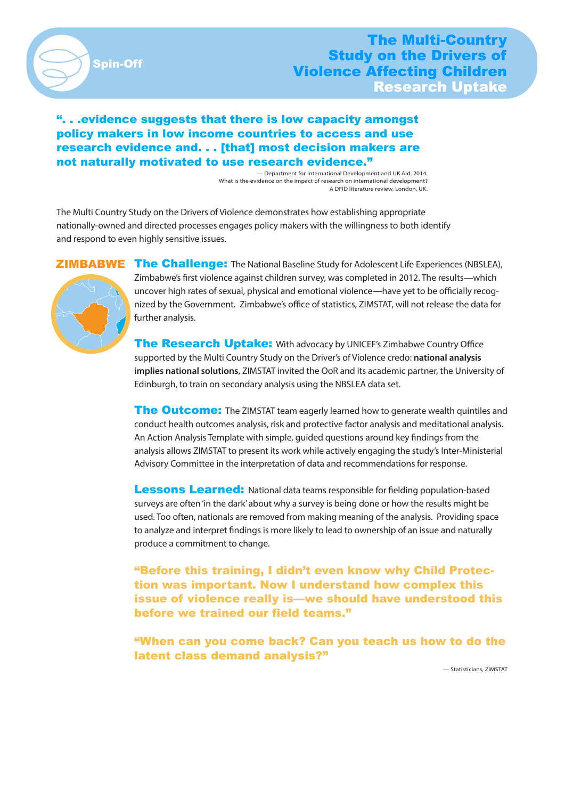

## ". . .evidence suggests that there is low capacity amongst policy makers in low income countries to access and use research evidence and. . . [that] most decision makers are not naturally motivated to use research evidence."

 — Department for International Development and UK Aid. 2014. What is the evidence on the impact of research on international development? A DFID literature review, London, UK.

The Multi Country Study on the Drivers of Violence demonstrates how establishing appropriate nationally-owned and directed processes engages policy makers with the willingness to both identify and respond to even highly sensitive issues.



The Challenge: The National Baseline Study for Adolescent Life Experiences (NBSLEA), Zimbabwe's first violence against children survey, was completed in 2012. The results—which uncover high rates of sexual, physical and emotional violence—have yet to be officially recognized by the Government. Zimbabwe's office of statistics, ZIMSTAT, will not release the data for further analysis.

The Research Uptake: With advocacy by UNICEF's Zimbabwe Country Office supported by the Multi Country Study on the Driver's of Violence credo: **national analysis implies national solutions**, ZIMSTAT invited the OoR and its academic partner, the University of Edinburgh, to train on secondary analysis using the NBSLEA data set.

**The Outcome:** The ZIMSTAT team eagerly learned how to generate wealth quintiles and conduct health outcomes analysis, risk and protective factor analysis and meditational analysis. An Action Analysis Template with simple, guided questions around key findings from the analysis allows ZIMSTAT to present its work while actively engaging the study's Inter-Ministerial Advisory Committee in the interpretation of data and recommendations for response.

**Lessons Learned:** National data teams responsible for fielding population-based surveys are often 'in the dark' about why a survey is being done or how the results might be used. Too often, nationals are removed from making meaning of the analysis. Providing space to analyze and interpret findings is more likely to lead to ownership of an issue and naturally produce a commitment to change.

"Before this training, I didn't even know why Child Protection was important. Now I understand how complex this issue of violence really is—we should have understood this before we trained our field teams."

"When can you come back? Can you teach us how to do the latent class demand analysis?"

— Statisticians, ZIMSTAT